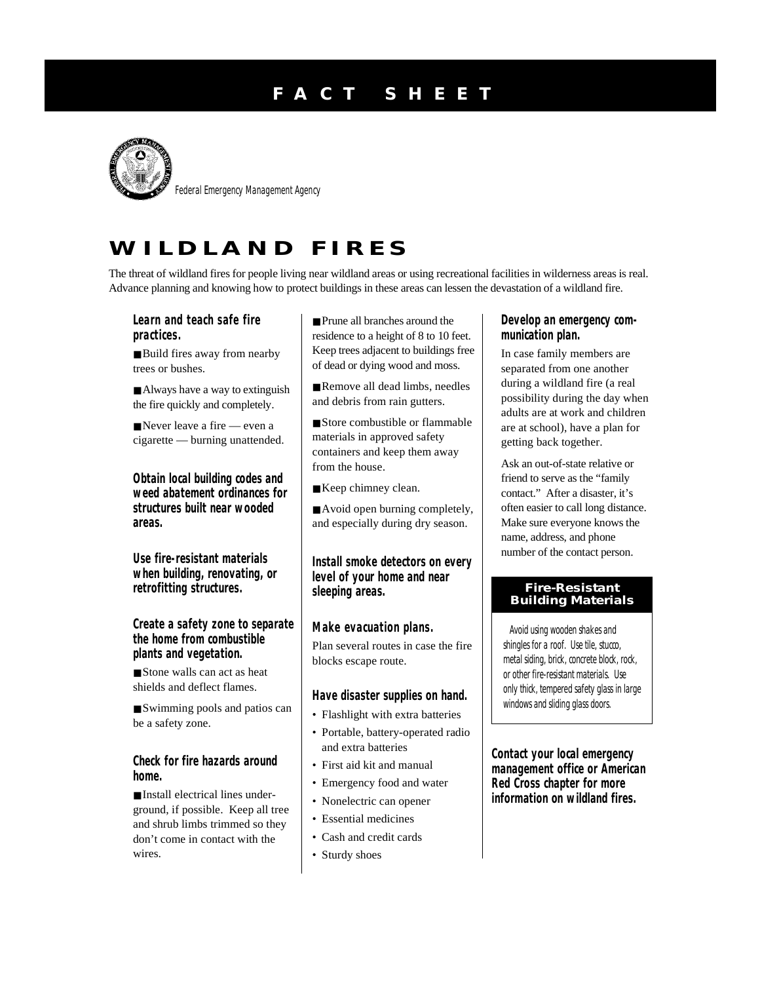## **F A C T S H E E T**



Federal Emergency Management Agency

## WILDLAND FIRFS

The threat of wildland fires for people living near wildland areas or using recreational facilities in wilderness areas is real. Advance planning and knowing how to protect buildings in these areas can lessen the devastation of a wildland fire.

**Learn and teach safe fire practices.**

- Build fires away from nearby trees or bushes.
- Always have a way to extinguish the fire quickly and completely.
- Never leave a fire even a cigarette — burning unattended.

**Obtain local building codes and weed abatement ordinances for structures built near wooded areas.**

**Use fire-resistant materials when building, renovating, or retrofitting structures.**

**Create a safety zone to separate the home from combustible plants and vegetation.**

■ Stone walls can act as heat shields and deflect flames.

■ Swimming pools and patios can be a safety zone.

**Check for fire hazards around home.**

■ Install electrical lines underground, if possible. Keep all tree and shrub limbs trimmed so they don't come in contact with the wires.

- Prune all branches around the residence to a height of 8 to 10 feet. Keep trees adjacent to buildings free of dead or dying wood and moss.
- Remove all dead limbs, needles and debris from rain gutters.
- Store combustible or flammable materials in approved safety containers and keep them away from the house.
- Keep chimney clean.
- Avoid open burning completely, and especially during dry season.

**Install smoke detectors on every level of your home and near sleeping areas.**

**Make evacuation plans.** Plan several routes in case the fire blocks escape route.

## **Have disaster supplies on hand.**

- Flashlight with extra batteries
- Portable, battery-operated radio and extra batteries
- First aid kit and manual
- Emergency food and water
- Nonelectric can opener
- Essential medicines
- Cash and credit cards
- Sturdy shoes

**Develop an emergency communication plan.**

In case family members are separated from one another during a wildland fire (a real possibility during the day when adults are at work and children are at school), have a plan for getting back together.

Ask an out-of-state relative or friend to serve as the "family contact." After a disaster, it's often easier to call long distance. Make sure everyone knows the name, address, and phone number of the contact person.

### **Fire-Resistant Building Materials**

Avoid using wooden shakes and shingles for a roof. Use tile, stucco, metal siding, brick, concrete block, rock, or other fire-resistant materials. Use only thick, tempered safety glass in large windows and sliding glass doors.

**Contact your local emergency management office or American Red Cross chapter for more information on wildland fires.**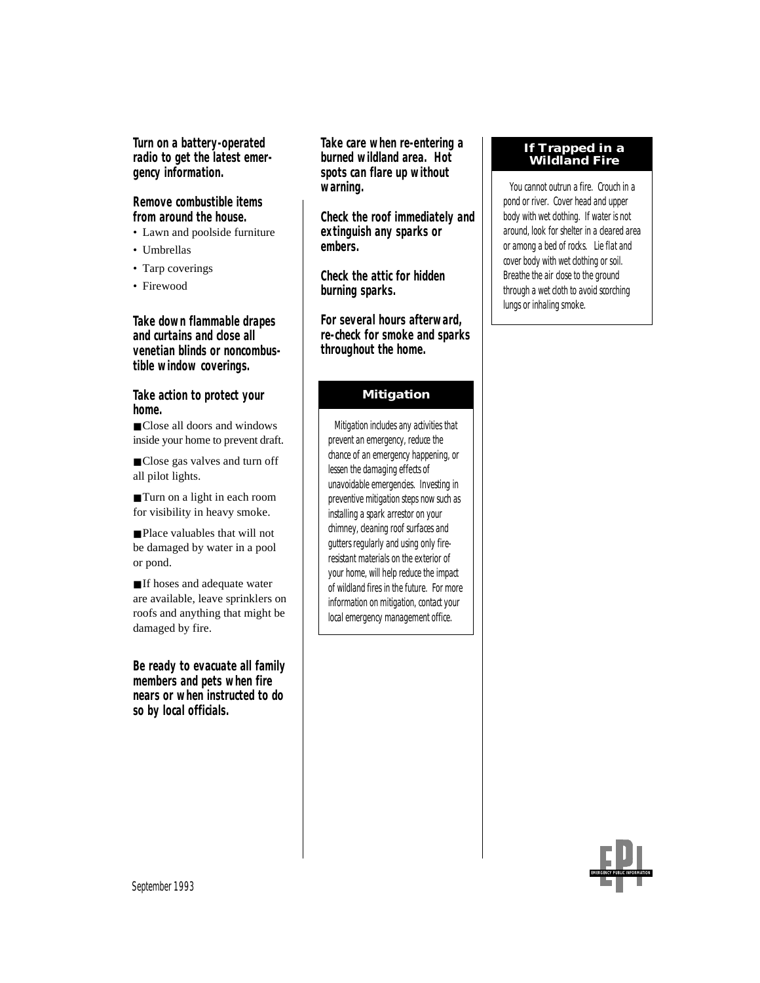**Turn on a battery-operated radio to get the latest emergency information.**

**Remove combustible items from around the house.**

- Lawn and poolside furniture
- Umbrellas
- Tarp coverings
- Firewood

**Take down flammable drapes and curtains and close all venetian blinds or noncombustible window coverings.**

**Take action to protect your home.**

■ Close all doors and windows inside your home to prevent draft.

■ Close gas valves and turn off all pilot lights.

■ Turn on a light in each room for visibility in heavy smoke.

■ Place valuables that will not be damaged by water in a pool or pond.

■ If hoses and adequate water are available, leave sprinklers on roofs and anything that might be damaged by fire.

**Be ready to evacuate all family members and pets when fire nears or when instructed to do so by local officials.**

**Take care when re-entering a burned wildland area. Hot spots can flare up without warning.**

**Check the roof immediately and extinguish any sparks or embers.**

**Check the attic for hidden burning sparks.**

**For several hours afterward, re-check for smoke and sparks throughout the home.**

## **Mitigation**

Mitigation includes any activities that prevent an emergency, reduce the chance of an emergency happening, or lessen the damaging effects of unavoidable emergencies. Investing in preventive mitigation steps now such as installing a spark arrestor on your chimney, cleaning roof surfaces and gutters regularly and using only fireresistant materials on the exterior of your home, will help reduce the impact of wildland fires in the future. For more information on mitigation, contact your local emergency management office.

#### **If Trapped in a Wildland Fire**

You cannot outrun a fire. Crouch in a pond or river. Cover head and upper body with wet clothing. If water is not around, look for shelter in a cleared area or among a bed of rocks. Lie flat and cover body with wet clothing or soil. Breathe the air close to the ground through a wet cloth to avoid scorching lungs or inhaling smoke.

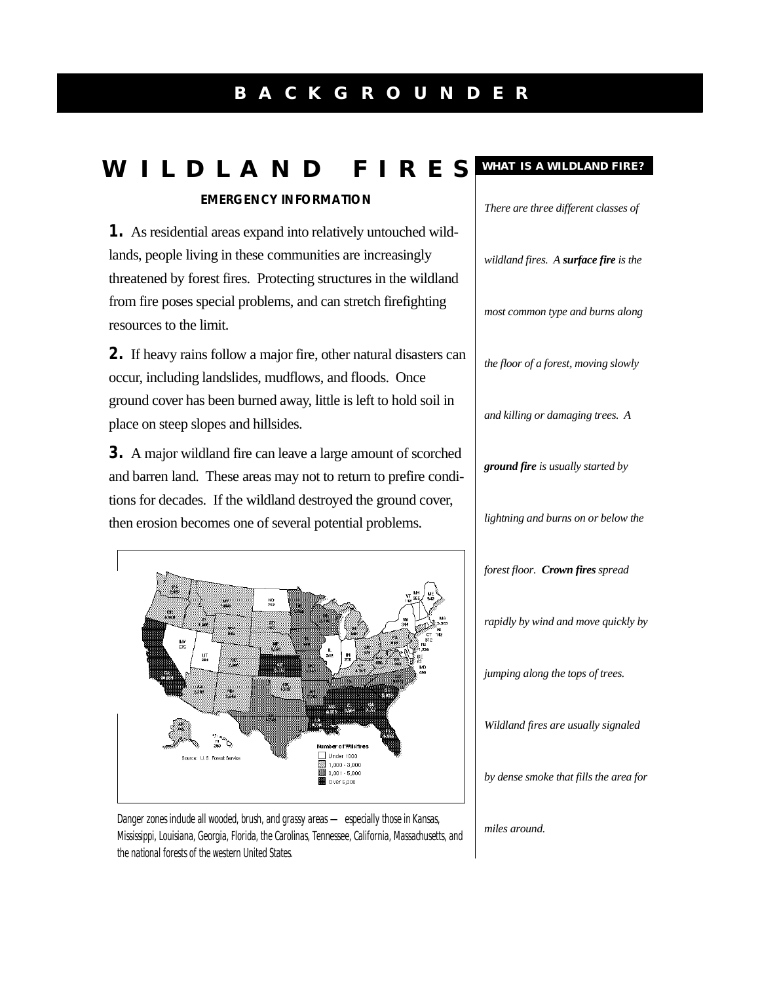## **B A C K G R O U N D E R**

#### **W I L D L A N D F I R E S WHAT IS A WILDLAND FIRE?**

## **EMERGENCY INFORMATION**

**1.** As residential areas expand into relatively untouched wildlands, people living in these communities are increasingly threatened by forest fires. Protecting structures in the wildland from fire poses special problems, and can stretch firefighting resources to the limit.

**2.** If heavy rains follow a major fire, other natural disasters can occur, including landslides, mudflows, and floods. Once ground cover has been burned away, little is left to hold soil in place on steep slopes and hillsides.

**3.** A major wildland fire can leave a large amount of scorched and barren land. These areas may not to return to prefire conditions for decades. If the wildland destroyed the ground cover, then erosion becomes one of several potential problems.



Danger zones include all wooded, brush, and grassy areas — especially those in Kansas, Mississippi, Louisiana, Georgia, Florida, the Carolinas, Tennessee, California, Massachusetts, and the national forests of the western United States.

*There are three different classes of wildland fires. A surface fire is the most common type and burns along the floor of a forest, moving slowly and killing or damaging trees. A ground fire is usually started by lightning and burns on or below the forest floor. Crown fires spread rapidly by wind and move quickly by jumping along the tops of trees. Wildland fires are usually signaled by dense smoke that fills the area for miles around.*